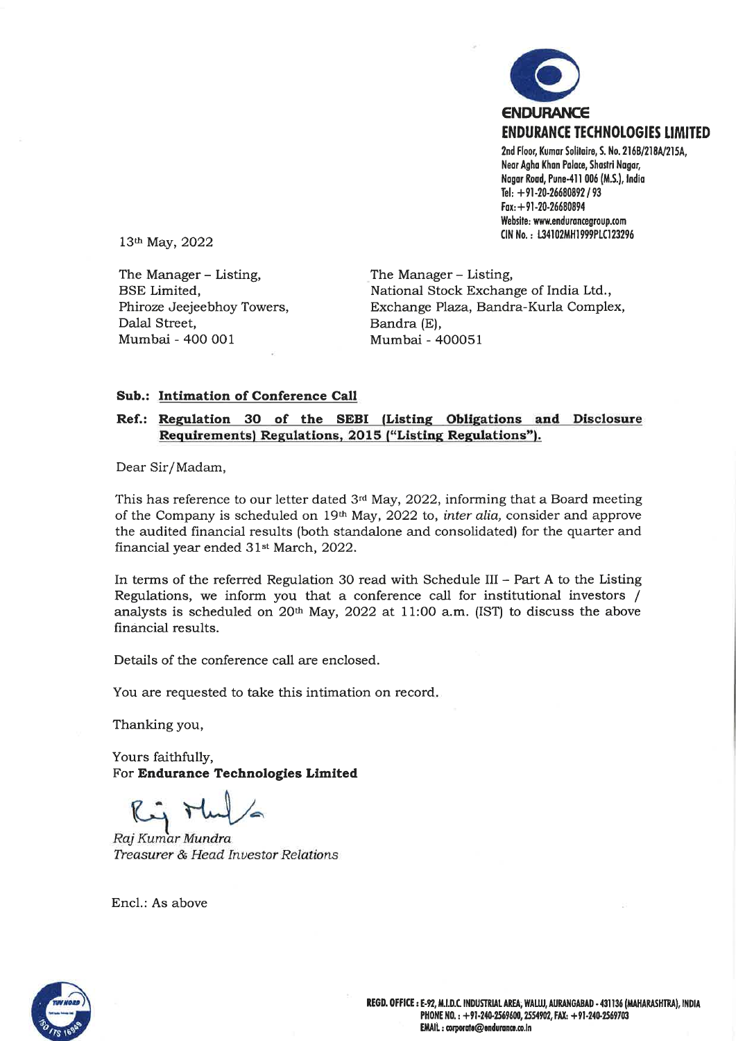

Website: www.endurancegroup.com CIN No.: L34102MH1999PLC123296

13th May, 2022

The Manager - Listing, **BSE** Limited, Phiroze Jeejeebhoy Towers, Dalal Street. Mumbai - 400 001

The Manager - Listing, National Stock Exchange of India Ltd., Exchange Plaza, Bandra-Kurla Complex, Bandra (E), Mumbai - 400051

#### Sub.: Intimation of Conference Call

### Ref.: Regulation 30 of the SEBI (Listing Obligations and Disclosure Requirements) Regulations, 2015 ("Listing Regulations").

Dear Sir/Madam,

This has reference to our letter dated  $3<sup>rd</sup>$  May, 2022, informing that a Board meeting of the Company is scheduled on 19th May, 2022 to, inter alia, consider and approve the audited financial results (both standalone and consolidated) for the quarter and financial year ended 31<sup>st</sup> March, 2022.

In terms of the referred Regulation 30 read with Schedule III - Part A to the Listing Regulations, we inform you that a conference call for institutional investors / analysts is scheduled on 20th May, 2022 at 11:00 a.m. (IST) to discuss the above financial results.

Details of the conference call are enclosed.

You are requested to take this intimation on record.

Thanking you,

Yours faithfully, For Endurance Technologies Limited

Raj Kumar Mundra Treasurer & Head Investor Relations

Encl.: As above